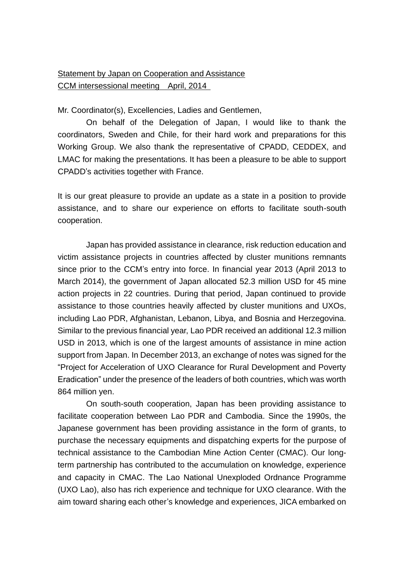## Statement by Japan on Cooperation and Assistance CCM intersessional meeting April, 2014

Mr. Coordinator(s), Excellencies, Ladies and Gentlemen,

On behalf of the Delegation of Japan, I would like to thank the coordinators, Sweden and Chile, for their hard work and preparations for this Working Group. We also thank the representative of CPADD, CEDDEX, and LMAC for making the presentations. It has been a pleasure to be able to support CPADD's activities together with France.

It is our great pleasure to provide an update as a state in a position to provide assistance, and to share our experience on efforts to facilitate south-south cooperation.

Japan has provided assistance in clearance, risk reduction education and victim assistance projects in countries affected by cluster munitions remnants since prior to the CCM's entry into force. In financial year 2013 (April 2013 to March 2014), the government of Japan allocated 52.3 million USD for 45 mine action projects in 22 countries. During that period, Japan continued to provide assistance to those countries heavily affected by cluster munitions and UXOs, including Lao PDR, Afghanistan, Lebanon, Libya, and Bosnia and Herzegovina. Similar to the previous financial year, Lao PDR received an additional 12.3 million USD in 2013, which is one of the largest amounts of assistance in mine action support from Japan. In December 2013, an exchange of notes was signed for the "Project for Acceleration of UXO Clearance for Rural Development and Poverty Eradication" under the presence of the leaders of both countries, which was worth 864 million yen.

On south-south cooperation, Japan has been providing assistance to facilitate cooperation between Lao PDR and Cambodia. Since the 1990s, the Japanese government has been providing assistance in the form of grants, to purchase the necessary equipments and dispatching experts for the purpose of technical assistance to the Cambodian Mine Action Center (CMAC). Our longterm partnership has contributed to the accumulation on knowledge, experience and capacity in CMAC. The Lao National Unexploded Ordnance Programme (UXO Lao), also has rich experience and technique for UXO clearance. With the aim toward sharing each other's knowledge and experiences, JICA embarked on